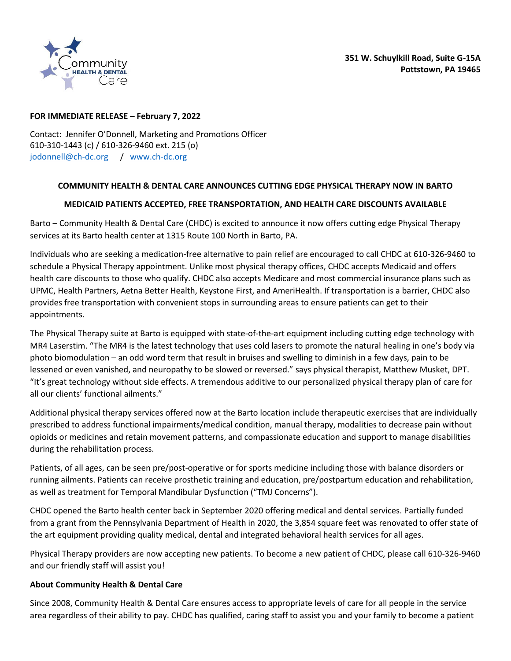

## **FOR IMMEDIATE RELEASE – February 7, 2022**

Contact: Jennifer O'Donnell, Marketing and Promotions Officer 610-310-1443 (c) / 610-326-9460 ext. 215 (o) [jodonnell@ch-dc.org](mailto:jodonnell@ch-dc.org) / [www.ch-dc.org](https://chdc1-my.sharepoint.com/personal/jodonnell_ch-dc_org/Documents/Documents/Marketing/Press%20Releases/www.ch-dc.org)

## **COMMUNITY HEALTH & DENTAL CARE ANNOUNCES CUTTING EDGE PHYSICAL THERAPY NOW IN BARTO**

## **MEDICAID PATIENTS ACCEPTED, FREE TRANSPORTATION, AND HEALTH CARE DISCOUNTS AVAILABLE**

Barto – Community Health & Dental Care (CHDC) is excited to announce it now offers cutting edge Physical Therapy services at its Barto health center at 1315 Route 100 North in Barto, PA.

Individuals who are seeking a medication-free alternative to pain relief are encouraged to call CHDC at 610-326-9460 to schedule a Physical Therapy appointment. Unlike most physical therapy offices, CHDC accepts Medicaid and offers health care discounts to those who qualify. CHDC also accepts Medicare and most commercial insurance plans such as UPMC, Health Partners, Aetna Better Health, Keystone First, and AmeriHealth. If transportation is a barrier, CHDC also provides free transportation with convenient stops in surrounding areas to ensure patients can get to their appointments.

The Physical Therapy suite at Barto is equipped with state-of-the-art equipment including cutting edge technology with MR4 Laserstim. "The MR4 is the latest technology that uses cold lasers to promote the natural healing in one's body via photo biomodulation – an odd word term that result in bruises and swelling to diminish in a few days, pain to be lessened or even vanished, and neuropathy to be slowed or reversed." says physical therapist, Matthew Musket, DPT. "It's great technology without side effects. A tremendous additive to our personalized physical therapy plan of care for all our clients' functional ailments."

Additional physical therapy services offered now at the Barto location include therapeutic exercises that are individually prescribed to address functional impairments/medical condition, manual therapy, modalities to decrease pain without opioids or medicines and retain movement patterns, and compassionate education and support to manage disabilities during the rehabilitation process.

Patients, of all ages, can be seen pre/post-operative or for sports medicine including those with balance disorders or running ailments. Patients can receive prosthetic training and education, pre/postpartum education and rehabilitation, as well as treatment for Temporal Mandibular Dysfunction ("TMJ Concerns").

CHDC opened the Barto health center back in September 2020 offering medical and dental services. Partially funded from a grant from the Pennsylvania Department of Health in 2020, the 3,854 square feet was renovated to offer state of the art equipment providing quality medical, dental and integrated behavioral health services for all ages.

Physical Therapy providers are now accepting new patients. To become a new patient of CHDC, please call 610-326-9460 and our friendly staff will assist you!

## **About Community Health & Dental Care**

Since 2008, Community Health & Dental Care ensures access to appropriate levels of care for all people in the service area regardless of their ability to pay. CHDC has qualified, caring staff to assist you and your family to become a patient